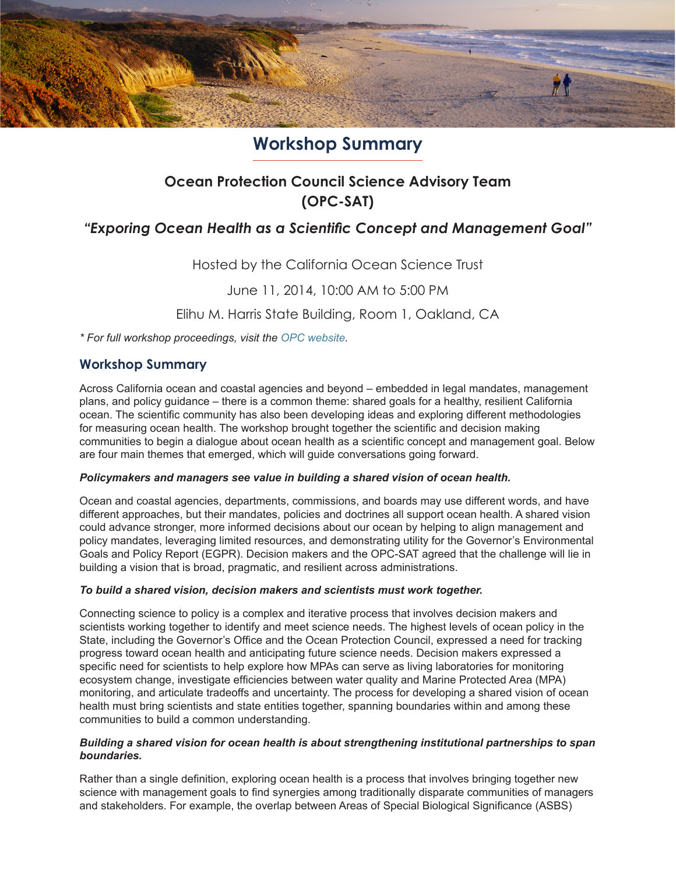

# **Workshop Summary**

## **Ocean Protection Council Science Advisory Team (OPC-SAT)**

### *"Exporing Ocean Health as a Scientific Concept and Management Goal"*

Hosted by the California Ocean Science Trust

June 11, 2014, 10:00 AM to 5:00 PM

Elihu M. Harris State Building, Room 1, Oakland, CA

*\* For full workshop proceedings, visit the [OPC website.](http://www.opc.ca.gov/2014/05/california-ocean-protection-council-scientific-advisory-team-meeting-opc-sat-topic-ocean-health/)*

### **Workshop Summary**

Across California ocean and coastal agencies and beyond – embedded in legal mandates, management plans, and policy guidance – there is a common theme: shared goals for a healthy, resilient California ocean. The scientific community has also been developing ideas and exploring different methodologies for measuring ocean health. The workshop brought together the scientific and decision making communities to begin a dialogue about ocean health as a scientific concept and management goal. Below are four main themes that emerged, which will guide conversations going forward.

#### *Policymakers and managers see value in building a shared vision of ocean health.*

Ocean and coastal agencies, departments, commissions, and boards may use different words, and have different approaches, but their mandates, policies and doctrines all support ocean health. A shared vision could advance stronger, more informed decisions about our ocean by helping to align management and policy mandates, leveraging limited resources, and demonstrating utility for the Governor's Environmental Goals and Policy Report (EGPR). Decision makers and the OPC-SAT agreed that the challenge will lie in building a vision that is broad, pragmatic, and resilient across administrations.

#### *To build a shared vision, decision makers and scientists must work together.*

Connecting science to policy is a complex and iterative process that involves decision makers and scientists working together to identify and meet science needs. The highest levels of ocean policy in the State, including the Governor's Office and the Ocean Protection Council, expressed a need for tracking progress toward ocean health and anticipating future science needs. Decision makers expressed a specific need for scientists to help explore how MPAs can serve as living laboratories for monitoring ecosystem change, investigate efficiencies between water quality and Marine Protected Area (MPA) monitoring, and articulate tradeoffs and uncertainty. The process for developing a shared vision of ocean health must bring scientists and state entities together, spanning boundaries within and among these communities to build a common understanding.

#### *Building a shared vision for ocean health is about strengthening institutional partnerships to span boundaries.*

Rather than a single definition, exploring ocean health is a process that involves bringing together new science with management goals to find synergies among traditionally disparate communities of managers and stakeholders. For example, the overlap between Areas of Special Biological Significance (ASBS)